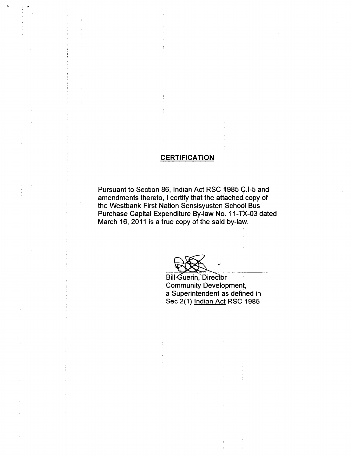## **CERTIFICATION**

Pursuant to Section 86, Indian Act RSC 1985 C.I-5 and amendments thereto, I certify that the attached copy of the Westbank First Nation Sensisyusten School Bus Purchase Capital Expenditure By -law No. 11 -TX -03 dated March 16, 2011 is a true copy of the said by-law.

**Bill Guerin, Director** Community Development, a Superintendent as defined in Sec 2(1) Indian Act RSC 1985

r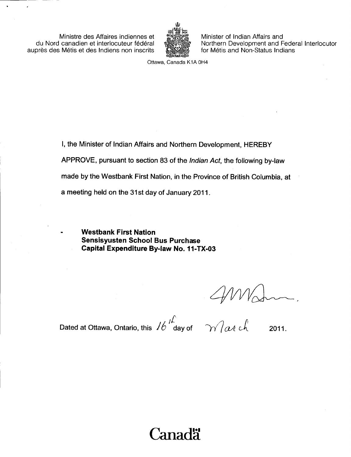Ministre des Affaires indiennes et du Nord canadien et interlocuteur federal auprès des Métis et des Indiens non inscrits



Minister of Indian Affairs and Northern Development and Federal Interlocutor for Métis and Non-Status Indians

Ottawa, Canada K1A OH4

I, the Minister of Indian Affairs and Northern Development, HEREBY APPROVE, pursuant to section 83 of the Indian Act, the following by -law made by the Westbank First Nation, in the Province of British Columbia, at a meeting held on the 31st day of January 2011.

'anadä

Westbank First Nation Sensisyusten School Bus Purchase Capital Expenditure By-law No. 11-TX-03

Dated at Ottawa, Ontario, this  $16 \frac{h}{\text{day of}}$   $\gamma$   $\gamma$  at ch 2011.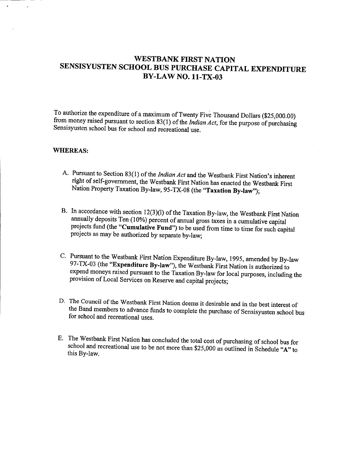## WESTBANK FIRST NATION SENSISYUSTEN SCHOOL BUS PURCHASE CAPITAL EXPENDITURE **BY-LAW NO. 11-TX-03**

To authorize the expenditure of a maximum of Twenty Five Thousand Dollars (\$25,000.00) from money raised pursuant to section  $83(1)$  of the *Indian Act*, for the purpose of purchasing Sensisyusten school bus for school and recreational use.

#### WHEREAS:

- A. Pursuant to Section 83(1) of the *Indian Act* and the Westbank First Nation's inherent right of self-government, the Westbank First Nation has enacted the Westbank First Nation Property Taxation By-law, 95-TX-08 (the "Taxation By-law");
- B. In accordance with section 12(3)(l) of the Taxation By-law, the Westbank First Nation annually deposits Ten (10%) percent of annual gross taxes in a cumulative capital projects fund (the "Cumulative Fund") to be used from time to time for such capital projects as may be authorized by separate by -law;
- C. Pursuant to the Westbank First Nation Expenditure By -law, 1995, amended by By -law 97-TX-03 (the "Expenditure By-law"), the Westbank First Nation is authorized to expend moneys raised pursuant to the Taxation By -law for local purposes, including the provision of Local Services on Reserve and capital projects;
- D. The Council of the Westbank First Nation deems it desirable and in the best interest of the Band members to advance funds to complete the purchase of Sensisyusten school bus for school and recreational uses.
- E. The Westbank First Nation has concluded the total cost of purchasing of school bus for school and recreational use to be not more than  $$25,000$  as outlined in Schedule "A" to this By-law.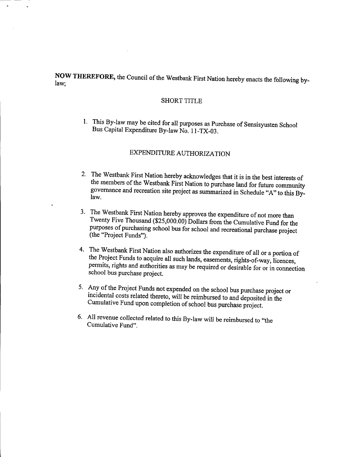NOW THEREFORE, the Council of the Westbank First Nation hereby enacts the following by- law;

### SHORT TITLE

1. This By -law may be cited for all purposes as Purchase of Sensisyusten School Bus Capital Expenditure By-law No. 11-TX-03.

## EXPENDITURE AUTHORIZATION

- 2. The Westbank First Nation hereby acknowledges that it is in the best interests of the members of the Westbank First Nation to purchase land for future community the members of the Westbank First Nation to purchase land for future community governance and recreation site project as summarized in Schedule " A" to this By- law.
- 3. The Westbank First Nation hereby approves the expenditure of not more than Twenty Five Thousand ( $$25,000.00$ ) Dollars from the Cumulative Fund for the purposes of purchasing school bus for school and recreational purchase project (the "Project Funds").
- 4. The Westbank First Nation also authorizes the expenditure of all or <sup>a</sup> portion of the Project Funds to acquire all such lands, easements, rights -of -way, licences, permits, rights and authorities as may be required or desirable for or in connection school bus purchase project.
- 5. Any of the Project Funds not expended on the school bus purchase project or incidental costs related thereto, will be reimbursed to and deposited in the Cumulative Fund upon completion of school bus purchase project.
- 6. All revenue collected related to this By -law will be reimbursed to " the Cumulative Fund".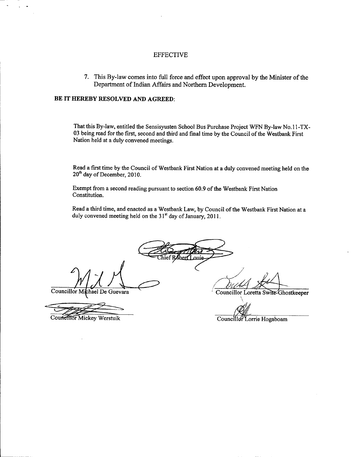#### EFFECTIVE

7. This By -law comes into full force and effect upon approval by the Minister of the Department of Indian Affairs and Northern Development.

#### BE IT HEREBY RESOLVED AND AGREED:

That this By-law, entitled the Sensisyusten School Bus Purchase Project WFN By-law No.11-TX-03 being read for the first, second and third and final time by the Council of the Westbank First Nation held at a duly convened meetings.

Read a first time by the Council of Westbank First Nation at a duly convened meeting held on the 20<sup>th</sup> day of December, 2010.

Exempt from a second reading pursuant to section 60.9 of the Westbank First Nation Constitution.

Read a third time, and enacted as a Westbank Law, by Council of the Westbank First Nation at a duly convened meeting held on the 31<sup>st</sup> day of January, 2011.

ief Robert Louie

Councillor Michael De Guevara

Councillor Mickey Werstuik

Councillor Loretta Swite-Ghostkeeper

Councillor Lorrie Hogaboam